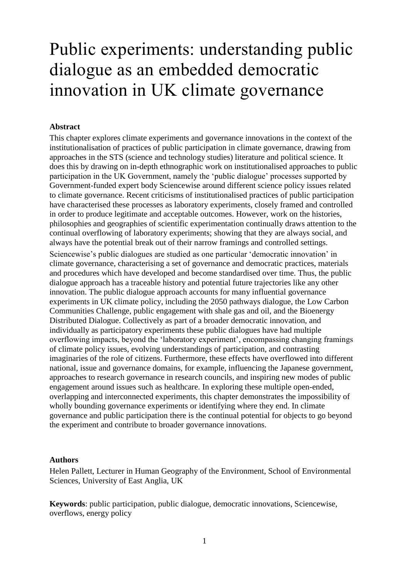# Public experiments: understanding public dialogue as an embedded democratic innovation in UK climate governance

## **Abstract**

This chapter explores climate experiments and governance innovations in the context of the institutionalisation of practices of public participation in climate governance, drawing from approaches in the STS (science and technology studies) literature and political science. It does this by drawing on in-depth ethnographic work on institutionalised approaches to public participation in the UK Government, namely the 'public dialogue' processes supported by Government-funded expert body Sciencewise around different science policy issues related to climate governance. Recent criticisms of institutionalised practices of public participation have characterised these processes as laboratory experiments, closely framed and controlled in order to produce legitimate and acceptable outcomes. However, work on the histories, philosophies and geographies of scientific experimentation continually draws attention to the continual overflowing of laboratory experiments; showing that they are always social, and always have the potential break out of their narrow framings and controlled settings. Sciencewise's public dialogues are studied as one particular 'democratic innovation' in climate governance, characterising a set of governance and democratic practices, materials and procedures which have developed and become standardised over time. Thus, the public dialogue approach has a traceable history and potential future trajectories like any other innovation. The public dialogue approach accounts for many influential governance experiments in UK climate policy, including the 2050 pathways dialogue, the Low Carbon Communities Challenge, public engagement with shale gas and oil, and the Bioenergy Distributed Dialogue. Collectively as part of a broader democratic innovation, and individually as participatory experiments these public dialogues have had multiple overflowing impacts, beyond the 'laboratory experiment', encompassing changing framings of climate policy issues, evolving understandings of participation, and contrasting imaginaries of the role of citizens. Furthermore, these effects have overflowed into different national, issue and governance domains, for example, influencing the Japanese government, approaches to research governance in research councils, and inspiring new modes of public engagement around issues such as healthcare. In exploring these multiple open-ended, overlapping and interconnected experiments, this chapter demonstrates the impossibility of wholly bounding governance experiments or identifying where they end. In climate governance and public participation there is the continual potential for objects to go beyond the experiment and contribute to broader governance innovations.

#### **Authors**

Helen Pallett, Lecturer in Human Geography of the Environment, School of Environmental Sciences, University of East Anglia, UK

**Keywords**: public participation, public dialogue, democratic innovations, Sciencewise, overflows, energy policy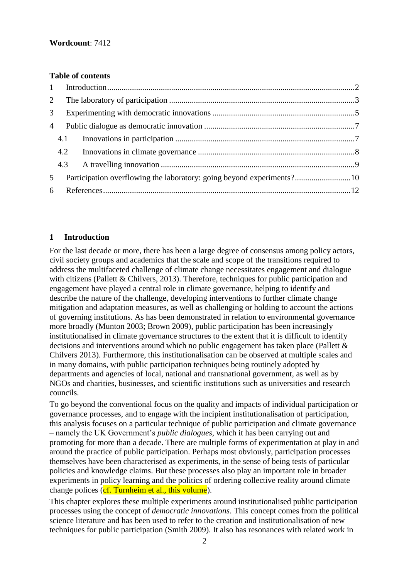#### **Table of contents**

| $\overline{2}$ |     |  |  |
|----------------|-----|--|--|
| $\mathfrak{Z}$ |     |  |  |
| $\overline{4}$ |     |  |  |
|                | 4.1 |  |  |
|                |     |  |  |
|                |     |  |  |
| 5              |     |  |  |
|                |     |  |  |
|                |     |  |  |

# **1 Introduction**

For the last decade or more, there has been a large degree of consensus among policy actors, civil society groups and academics that the scale and scope of the transitions required to address the multifaceted challenge of climate change necessitates engagement and dialogue with citizens (Pallett & Chilvers, 2013). Therefore, techniques for public participation and engagement have played a central role in climate governance, helping to identify and describe the nature of the challenge, developing interventions to further climate change mitigation and adaptation measures, as well as challenging or holding to account the actions of governing institutions. As has been demonstrated in relation to environmental governance more broadly (Munton 2003; Brown 2009), public participation has been increasingly institutionalised in climate governance structures to the extent that it is difficult to identify decisions and interventions around which no public engagement has taken place (Pallett & Chilvers 2013). Furthermore, this institutionalisation can be observed at multiple scales and in many domains, with public participation techniques being routinely adopted by departments and agencies of local, national and transnational government, as well as by NGOs and charities, businesses, and scientific institutions such as universities and research councils.

To go beyond the conventional focus on the quality and impacts of individual participation or governance processes, and to engage with the incipient institutionalisation of participation, this analysis focuses on a particular technique of public participation and climate governance – namely the UK Government's *public dialogues*, which it has been carrying out and promoting for more than a decade. There are multiple forms of experimentation at play in and around the practice of public participation. Perhaps most obviously, participation processes themselves have been characterised as experiments, in the sense of being tests of particular policies and knowledge claims. But these processes also play an important role in broader experiments in policy learning and the politics of ordering collective reality around climate change polices (cf. Turnheim et al., this volume).

This chapter explores these multiple experiments around institutionalised public participation processes using the concept of *democratic innovations*. This concept comes from the political science literature and has been used to refer to the creation and institutionalisation of new techniques for public participation (Smith 2009). It also has resonances with related work in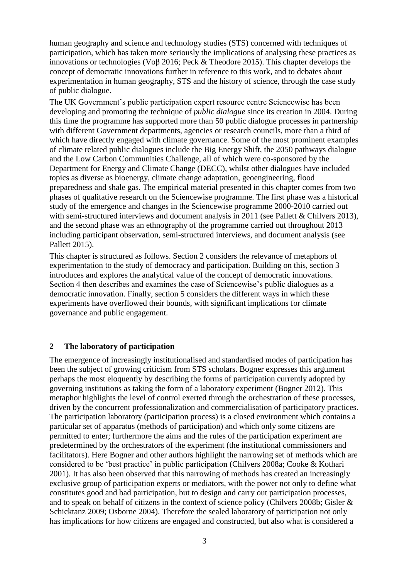human geography and science and technology studies (STS) concerned with techniques of participation, which has taken more seriously the implications of analysing these practices as innovations or technologies (Voβ 2016; Peck & Theodore 2015). This chapter develops the concept of democratic innovations further in reference to this work, and to debates about experimentation in human geography, STS and the history of science, through the case study of public dialogue.

The UK Government's public participation expert resource centre Sciencewise has been developing and promoting the technique of *public dialogue* since its creation in 2004. During this time the programme has supported more than 50 public dialogue processes in partnership with different Government departments, agencies or research councils, more than a third of which have directly engaged with climate governance. Some of the most prominent examples of climate related public dialogues include the Big Energy Shift, the 2050 pathways dialogue and the Low Carbon Communities Challenge, all of which were co-sponsored by the Department for Energy and Climate Change (DECC), whilst other dialogues have included topics as diverse as bioenergy, climate change adaptation, geoengineering, flood preparedness and shale gas. The empirical material presented in this chapter comes from two phases of qualitative research on the Sciencewise programme. The first phase was a historical study of the emergence and changes in the Sciencewise programme 2000-2010 carried out with semi-structured interviews and document analysis in 2011 (see Pallett & Chilvers 2013), and the second phase was an ethnography of the programme carried out throughout 2013 including participant observation, semi-structured interviews, and document analysis (see Pallett 2015).

This chapter is structured as follows. Section 2 considers the relevance of metaphors of experimentation to the study of democracy and participation. Building on this, section 3 introduces and explores the analytical value of the concept of democratic innovations. Section 4 then describes and examines the case of Sciencewise's public dialogues as a democratic innovation. Finally, section 5 considers the different ways in which these experiments have overflowed their bounds, with significant implications for climate governance and public engagement.

#### **2 The laboratory of participation**

The emergence of increasingly institutionalised and standardised modes of participation has been the subject of growing criticism from STS scholars. Bogner expresses this argument perhaps the most eloquently by describing the forms of participation currently adopted by governing institutions as taking the form of a laboratory experiment (Bogner 2012). This metaphor highlights the level of control exerted through the orchestration of these processes, driven by the concurrent professionalization and commercialisation of participatory practices. The participation laboratory (participation process) is a closed environment which contains a particular set of apparatus (methods of participation) and which only some citizens are permitted to enter; furthermore the aims and the rules of the participation experiment are predetermined by the orchestrators of the experiment (the institutional commissioners and facilitators). Here Bogner and other authors highlight the narrowing set of methods which are considered to be 'best practice' in public participation (Chilvers 2008a; Cooke & Kothari 2001). It has also been observed that this narrowing of methods has created an increasingly exclusive group of participation experts or mediators, with the power not only to define what constitutes good and bad participation, but to design and carry out participation processes, and to speak on behalf of citizens in the context of science policy (Chilvers 2008b; Gisler & Schicktanz 2009; Osborne 2004). Therefore the sealed laboratory of participation not only has implications for how citizens are engaged and constructed, but also what is considered a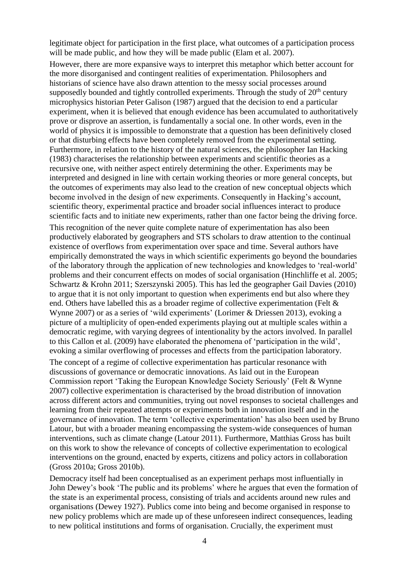legitimate object for participation in the first place, what outcomes of a participation process will be made public, and how they will be made public (Elam et al. 2007).

However, there are more expansive ways to interpret this metaphor which better account for the more disorganised and contingent realities of experimentation. Philosophers and historians of science have also drawn attention to the messy social processes around supposedly bounded and tightly controlled experiments. Through the study of  $20<sup>th</sup>$  century microphysics historian Peter Galison (1987) argued that the decision to end a particular experiment, when it is believed that enough evidence has been accumulated to authoritatively prove or disprove an assertion, is fundamentally a social one. In other words, even in the world of physics it is impossible to demonstrate that a question has been definitively closed or that disturbing effects have been completely removed from the experimental setting. Furthermore, in relation to the history of the natural sciences, the philosopher Ian Hacking (1983) characterises the relationship between experiments and scientific theories as a recursive one, with neither aspect entirely determining the other. Experiments may be interpreted and designed in line with certain working theories or more general concepts, but the outcomes of experiments may also lead to the creation of new conceptual objects which become involved in the design of new experiments. Consequently in Hacking's account, scientific theory, experimental practice and broader social influences interact to produce scientific facts and to initiate new experiments, rather than one factor being the driving force. This recognition of the never quite complete nature of experimentation has also been productively elaborated by geographers and STS scholars to draw attention to the continual existence of overflows from experimentation over space and time. Several authors have empirically demonstrated the ways in which scientific experiments go beyond the boundaries of the laboratory through the application of new technologies and knowledges to 'real-world' problems and their concurrent effects on modes of social organisation (Hinchliffe et al. 2005; Schwartz & Krohn 2011; Szerszynski 2005). This has led the geographer Gail Davies (2010) to argue that it is not only important to question when experiments end but also where they end. Others have labelled this as a broader regime of collective experimentation (Felt & Wynne 2007) or as a series of 'wild experiments' (Lorimer & Driessen 2013), evoking a picture of a multiplicity of open-ended experiments playing out at multiple scales within a democratic regime, with varying degrees of intentionality by the actors involved. In parallel to this Callon et al. (2009) have elaborated the phenomena of 'participation in the wild', evoking a similar overflowing of processes and effects from the participation laboratory. The concept of a regime of collective experimentation has particular resonance with discussions of governance or democratic innovations. As laid out in the European Commission report 'Taking the European Knowledge Society Seriously' (Felt & Wynne 2007) collective experimentation is characterised by the broad distribution of innovation across different actors and communities, trying out novel responses to societal challenges and learning from their repeated attempts or experiments both in innovation itself and in the governance of innovation. The term 'collective experimentation' has also been used by Bruno

Latour, but with a broader meaning encompassing the system-wide consequences of human interventions, such as climate change (Latour 2011). Furthermore, Matthias Gross has built on this work to show the relevance of concepts of collective experimentation to ecological interventions on the ground, enacted by experts, citizens and policy actors in collaboration (Gross 2010a; Gross 2010b).

Democracy itself had been conceptualised as an experiment perhaps most influentially in John Dewey's book 'The public and its problems' where he argues that even the formation of the state is an experimental process, consisting of trials and accidents around new rules and organisations (Dewey 1927). Publics come into being and become organised in response to new policy problems which are made up of these unforeseen indirect consequences, leading to new political institutions and forms of organisation. Crucially, the experiment must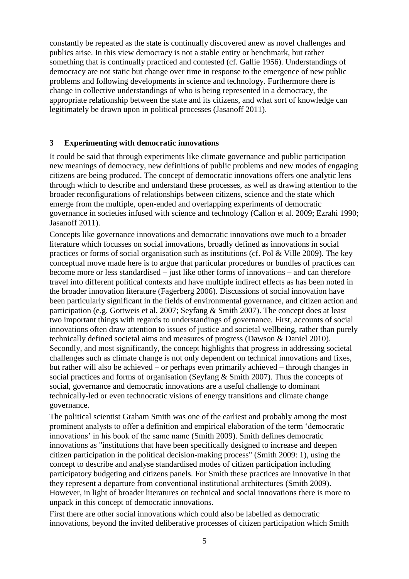constantly be repeated as the state is continually discovered anew as novel challenges and publics arise. In this view democracy is not a stable entity or benchmark, but rather something that is continually practiced and contested (cf. Gallie 1956). Understandings of democracy are not static but change over time in response to the emergence of new public problems and following developments in science and technology. Furthermore there is change in collective understandings of who is being represented in a democracy, the appropriate relationship between the state and its citizens, and what sort of knowledge can legitimately be drawn upon in political processes (Jasanoff 2011).

#### **3 Experimenting with democratic innovations**

It could be said that through experiments like climate governance and public participation new meanings of democracy, new definitions of public problems and new modes of engaging citizens are being produced. The concept of democratic innovations offers one analytic lens through which to describe and understand these processes, as well as drawing attention to the broader reconfigurations of relationships between citizens, science and the state which emerge from the multiple, open-ended and overlapping experiments of democratic governance in societies infused with science and technology (Callon et al. 2009; Ezrahi 1990; Jasanoff 2011).

Concepts like governance innovations and democratic innovations owe much to a broader literature which focusses on social innovations, broadly defined as innovations in social practices or forms of social organisation such as institutions (cf. Pol & Ville 2009). The key conceptual move made here is to argue that particular procedures or bundles of practices can become more or less standardised – just like other forms of innovations – and can therefore travel into different political contexts and have multiple indirect effects as has been noted in the broader innovation literature (Fagerberg 2006). Discussions of social innovation have been particularly significant in the fields of environmental governance, and citizen action and participation (e.g. Gottweis et al. 2007; Seyfang & Smith 2007). The concept does at least two important things with regards to understandings of governance. First, accounts of social innovations often draw attention to issues of justice and societal wellbeing, rather than purely technically defined societal aims and measures of progress (Dawson & Daniel 2010). Secondly, and most significantly, the concept highlights that progress in addressing societal challenges such as climate change is not only dependent on technical innovations and fixes, but rather will also be achieved – or perhaps even primarily achieved – through changes in social practices and forms of organisation (Seyfang & Smith 2007). Thus the concepts of social, governance and democratic innovations are a useful challenge to dominant technically-led or even technocratic visions of energy transitions and climate change governance.

The political scientist Graham Smith was one of the earliest and probably among the most prominent analysts to offer a definition and empirical elaboration of the term 'democratic innovations' in his book of the same name (Smith 2009). Smith defines democratic innovations as "institutions that have been specifically designed to increase and deepen citizen participation in the political decision-making process" (Smith 2009: 1), using the concept to describe and analyse standardised modes of citizen participation including participatory budgeting and citizens panels. For Smith these practices are innovative in that they represent a departure from conventional institutional architectures (Smith 2009). However, in light of broader literatures on technical and social innovations there is more to unpack in this concept of democratic innovations.

First there are other social innovations which could also be labelled as democratic innovations, beyond the invited deliberative processes of citizen participation which Smith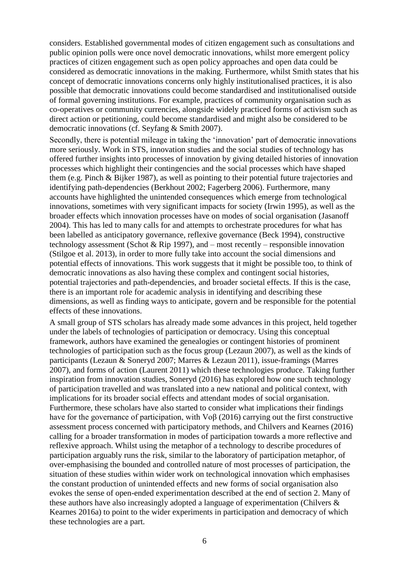considers. Established governmental modes of citizen engagement such as consultations and public opinion polls were once novel democratic innovations, whilst more emergent policy practices of citizen engagement such as open policy approaches and open data could be considered as democratic innovations in the making. Furthermore, whilst Smith states that his concept of democratic innovations concerns only highly institutionalised practices, it is also possible that democratic innovations could become standardised and institutionalised outside of formal governing institutions. For example, practices of community organisation such as co-operatives or community currencies, alongside widely practiced forms of activism such as direct action or petitioning, could become standardised and might also be considered to be democratic innovations (cf. Seyfang & Smith 2007).

Secondly, there is potential mileage in taking the 'innovation' part of democratic innovations more seriously. Work in STS, innovation studies and the social studies of technology has offered further insights into processes of innovation by giving detailed histories of innovation processes which highlight their contingencies and the social processes which have shaped them (e.g. Pinch & Bijker 1987), as well as pointing to their potential future trajectories and identifying path-dependencies (Berkhout 2002; Fagerberg 2006). Furthermore, many accounts have highlighted the unintended consequences which emerge from technological innovations, sometimes with very significant impacts for society (Irwin 1995), as well as the broader effects which innovation processes have on modes of social organisation (Jasanoff 2004). This has led to many calls for and attempts to orchestrate procedures for what has been labelled as anticipatory governance, reflexive governance (Beck 1994), constructive technology assessment (Schot & Rip 1997), and – most recently – responsible innovation (Stilgoe et al. 2013), in order to more fully take into account the social dimensions and potential effects of innovations. This work suggests that it might be possible too, to think of democratic innovations as also having these complex and contingent social histories, potential trajectories and path-dependencies, and broader societal effects. If this is the case, there is an important role for academic analysis in identifying and describing these dimensions, as well as finding ways to anticipate, govern and be responsible for the potential effects of these innovations.

A small group of STS scholars has already made some advances in this project, held together under the labels of technologies of participation or democracy. Using this conceptual framework, authors have examined the genealogies or contingent histories of prominent technologies of participation such as the focus group (Lezaun 2007), as well as the kinds of participants (Lezaun & Soneryd 2007; Marres & Lezaun 2011), issue-framings (Marres 2007), and forms of action (Laurent 2011) which these technologies produce. Taking further inspiration from innovation studies, Soneryd (2016) has explored how one such technology of participation travelled and was translated into a new national and political context, with implications for its broader social effects and attendant modes of social organisation. Furthermore, these scholars have also started to consider what implications their findings have for the governance of participation, with Voβ (2016) carrying out the first constructive assessment process concerned with participatory methods, and Chilvers and Kearnes (2016) calling for a broader transformation in modes of participation towards a more reflective and reflexive approach. Whilst using the metaphor of a technology to describe procedures of participation arguably runs the risk, similar to the laboratory of participation metaphor, of over-emphasising the bounded and controlled nature of most processes of participation, the situation of these studies within wider work on technological innovation which emphasises the constant production of unintended effects and new forms of social organisation also evokes the sense of open-ended experimentation described at the end of section 2. Many of these authors have also increasingly adopted a language of experimentation (Chilvers & Kearnes 2016a) to point to the wider experiments in participation and democracy of which these technologies are a part.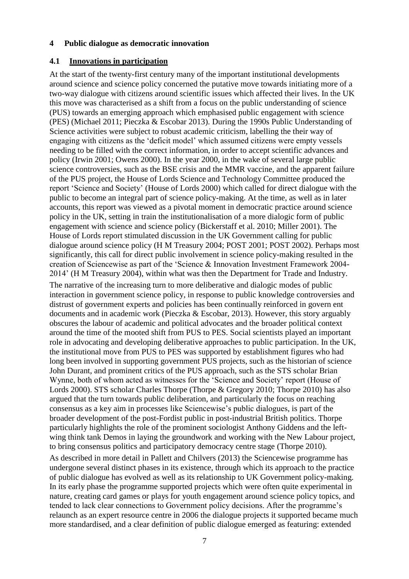#### **4 Public dialogue as democratic innovation**

## **4.1 Innovations in participation**

At the start of the twenty-first century many of the important institutional developments around science and science policy concerned the putative move towards initiating more of a two-way dialogue with citizens around scientific issues which affected their lives. In the UK this move was characterised as a shift from a focus on the public understanding of science (PUS) towards an emerging approach which emphasised public engagement with science (PES) (Michael 2011; Pieczka & Escobar 2013). During the 1990s Public Understanding of Science activities were subject to robust academic criticism, labelling the their way of engaging with citizens as the 'deficit model' which assumed citizens were empty vessels needing to be filled with the correct information, in order to accept scientific advances and policy (Irwin 2001; Owens 2000). In the year 2000, in the wake of several large public science controversies, such as the BSE crisis and the MMR vaccine, and the apparent failure of the PUS project, the House of Lords Science and Technology Committee produced the report 'Science and Society' (House of Lords 2000) which called for direct dialogue with the public to become an integral part of science policy-making. At the time, as well as in later accounts, this report was viewed as a pivotal moment in democratic practice around science policy in the UK, setting in train the institutionalisation of a more dialogic form of public engagement with science and science policy (Bickerstaff et al. 2010; Miller 2001). The House of Lords report stimulated discussion in the UK Government calling for public dialogue around science policy (H M Treasury 2004; POST 2001; POST 2002). Perhaps most significantly, this call for direct public involvement in science policy-making resulted in the creation of Sciencewise as part of the 'Science & Innovation Investment Framework 2004- 2014' (H M Treasury 2004), within what was then the Department for Trade and Industry. The narrative of the increasing turn to more deliberative and dialogic modes of public interaction in government science policy, in response to public knowledge controversies and distrust of government experts and policies has been continually reinforced in govern ent documents and in academic work (Pieczka & Escobar, 2013). However, this story arguably obscures the labour of academic and political advocates and the broader political context around the time of the mooted shift from PUS to PES. Social scientists played an important role in advocating and developing deliberative approaches to public participation. In the UK, the institutional move from PUS to PES was supported by establishment figures who had long been involved in supporting government PUS projects, such as the historian of science John Durant, and prominent critics of the PUS approach, such as the STS scholar Brian Wynne, both of whom acted as witnesses for the 'Science and Society' report (House of Lords 2000). STS scholar Charles Thorpe (Thorpe & Gregory 2010; Thorpe 2010) has also argued that the turn towards public deliberation, and particularly the focus on reaching consensus as a key aim in processes like Sciencewise's public dialogues, is part of the

broader development of the post-Fordist public in post-industrial British politics. Thorpe particularly highlights the role of the prominent sociologist Anthony Giddens and the leftwing think tank Demos in laying the groundwork and working with the New Labour project, to bring consensus politics and participatory democracy centre stage (Thorpe 2010).

As described in more detail in Pallett and Chilvers (2013) the Sciencewise programme has undergone several distinct phases in its existence, through which its approach to the practice of public dialogue has evolved as well as its relationship to UK Government policy-making. In its early phase the programme supported projects which were often quite experimental in nature, creating card games or plays for youth engagement around science policy topics, and tended to lack clear connections to Government policy decisions. After the programme's relaunch as an expert resource centre in 2006 the dialogue projects it supported became much more standardised, and a clear definition of public dialogue emerged as featuring: extended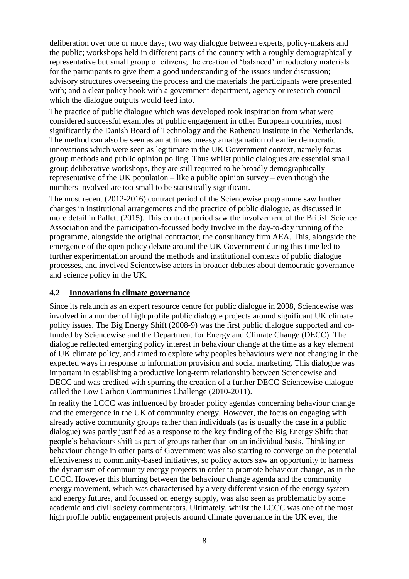deliberation over one or more days; two way dialogue between experts, policy-makers and the public; workshops held in different parts of the country with a roughly demographically representative but small group of citizens; the creation of 'balanced' introductory materials for the participants to give them a good understanding of the issues under discussion; advisory structures overseeing the process and the materials the participants were presented with; and a clear policy hook with a government department, agency or research council which the dialogue outputs would feed into.

The practice of public dialogue which was developed took inspiration from what were considered successful examples of public engagement in other European countries, most significantly the Danish Board of Technology and the Rathenau Institute in the Netherlands. The method can also be seen as an at times uneasy amalgamation of earlier democratic innovations which were seen as legitimate in the UK Government context, namely focus group methods and public opinion polling. Thus whilst public dialogues are essential small group deliberative workshops, they are still required to be broadly demographically representative of the UK population – like a public opinion survey – even though the numbers involved are too small to be statistically significant.

The most recent (2012-2016) contract period of the Sciencewise programme saw further changes in institutional arrangements and the practice of public dialogue, as discussed in more detail in Pallett (2015). This contract period saw the involvement of the British Science Association and the participation-focussed body Involve in the day-to-day running of the programme, alongside the original contractor, the consultancy firm AEA. This, alongside the emergence of the open policy debate around the UK Government during this time led to further experimentation around the methods and institutional contexts of public dialogue processes, and involved Sciencewise actors in broader debates about democratic governance and science policy in the UK.

# **4.2 Innovations in climate governance**

Since its relaunch as an expert resource centre for public dialogue in 2008, Sciencewise was involved in a number of high profile public dialogue projects around significant UK climate policy issues. The Big Energy Shift (2008-9) was the first public dialogue supported and cofunded by Sciencewise and the Department for Energy and Climate Change (DECC). The dialogue reflected emerging policy interest in behaviour change at the time as a key element of UK climate policy, and aimed to explore why peoples behaviours were not changing in the expected ways in response to information provision and social marketing. This dialogue was important in establishing a productive long-term relationship between Sciencewise and DECC and was credited with spurring the creation of a further DECC-Sciencewise dialogue called the Low Carbon Communities Challenge (2010-2011).

In reality the LCCC was influenced by broader policy agendas concerning behaviour change and the emergence in the UK of community energy. However, the focus on engaging with already active community groups rather than individuals (as is usually the case in a public dialogue) was partly justified as a response to the key finding of the Big Energy Shift: that people's behaviours shift as part of groups rather than on an individual basis. Thinking on behaviour change in other parts of Government was also starting to converge on the potential effectiveness of community-based initiatives, so policy actors saw an opportunity to harness the dynamism of community energy projects in order to promote behaviour change, as in the LCCC. However this blurring between the behaviour change agenda and the community energy movement, which was characterised by a very different vision of the energy system and energy futures, and focussed on energy supply, was also seen as problematic by some academic and civil society commentators. Ultimately, whilst the LCCC was one of the most high profile public engagement projects around climate governance in the UK ever, the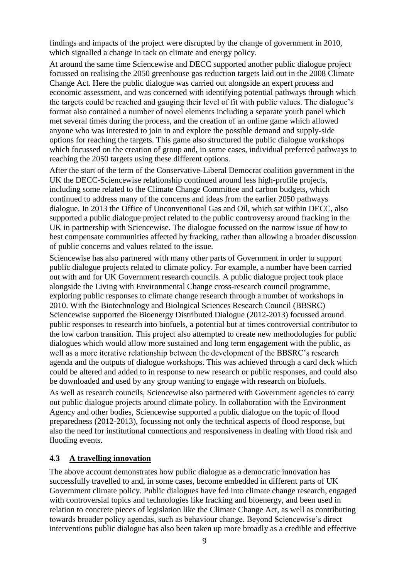findings and impacts of the project were disrupted by the change of government in 2010, which signalled a change in tack on climate and energy policy.

At around the same time Sciencewise and DECC supported another public dialogue project focussed on realising the 2050 greenhouse gas reduction targets laid out in the 2008 Climate Change Act. Here the public dialogue was carried out alongside an expert process and economic assessment, and was concerned with identifying potential pathways through which the targets could be reached and gauging their level of fit with public values. The dialogue's format also contained a number of novel elements including a separate youth panel which met several times during the process, and the creation of an online game which allowed anyone who was interested to join in and explore the possible demand and supply-side options for reaching the targets. This game also structured the public dialogue workshops which focussed on the creation of group and, in some cases, individual preferred pathways to reaching the 2050 targets using these different options.

After the start of the term of the Conservative-Liberal Democrat coalition government in the UK the DECC-Sciencewise relationship continued around less high-profile projects, including some related to the Climate Change Committee and carbon budgets, which continued to address many of the concerns and ideas from the earlier 2050 pathways dialogue. In 2013 the Office of Unconventional Gas and Oil, which sat within DECC, also supported a public dialogue project related to the public controversy around fracking in the UK in partnership with Sciencewise. The dialogue focussed on the narrow issue of how to best compensate communities affected by fracking, rather than allowing a broader discussion of public concerns and values related to the issue.

Sciencewise has also partnered with many other parts of Government in order to support public dialogue projects related to climate policy. For example, a number have been carried out with and for UK Government research councils. A public dialogue project took place alongside the Living with Environmental Change cross-research council programme, exploring public responses to climate change research through a number of workshops in 2010. With the Biotechnology and Biological Sciences Research Council (BBSRC) Sciencewise supported the Bioenergy Distributed Dialogue (2012-2013) focussed around public responses to research into biofuels, a potential but at times controversial contributor to the low carbon transition. This project also attempted to create new methodologies for public dialogues which would allow more sustained and long term engagement with the public, as well as a more iterative relationship between the development of the BBSRC's research agenda and the outputs of dialogue workshops. This was achieved through a card deck which could be altered and added to in response to new research or public responses, and could also be downloaded and used by any group wanting to engage with research on biofuels.

As well as research councils, Sciencewise also partnered with Government agencies to carry out public dialogue projects around climate policy. In collaboration with the Environment Agency and other bodies, Sciencewise supported a public dialogue on the topic of flood preparedness (2012-2013), focussing not only the technical aspects of flood response, but also the need for institutional connections and responsiveness in dealing with flood risk and flooding events.

#### **4.3 A travelling innovation**

The above account demonstrates how public dialogue as a democratic innovation has successfully travelled to and, in some cases, become embedded in different parts of UK Government climate policy. Public dialogues have fed into climate change research, engaged with controversial topics and technologies like fracking and bioenergy, and been used in relation to concrete pieces of legislation like the Climate Change Act, as well as contributing towards broader policy agendas, such as behaviour change. Beyond Sciencewise's direct interventions public dialogue has also been taken up more broadly as a credible and effective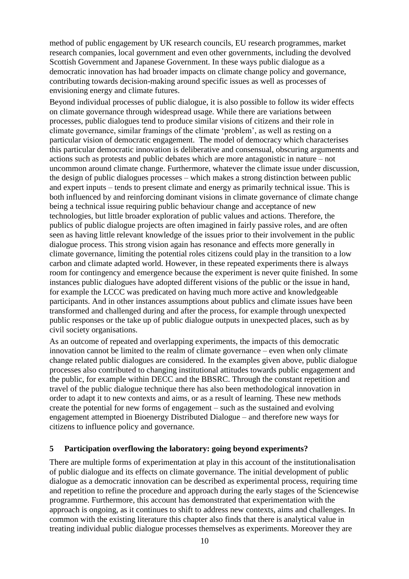method of public engagement by UK research councils, EU research programmes, market research companies, local government and even other governments, including the devolved Scottish Government and Japanese Government. In these ways public dialogue as a democratic innovation has had broader impacts on climate change policy and governance, contributing towards decision-making around specific issues as well as processes of envisioning energy and climate futures.

Beyond individual processes of public dialogue, it is also possible to follow its wider effects on climate governance through widespread usage. While there are variations between processes, public dialogues tend to produce similar visions of citizens and their role in climate governance, similar framings of the climate 'problem', as well as resting on a particular vision of democratic engagement. The model of democracy which characterises this particular democratic innovation is deliberative and consensual, obscuring arguments and actions such as protests and public debates which are more antagonistic in nature – not uncommon around climate change. Furthermore, whatever the climate issue under discussion, the design of public dialogues processes – which makes a strong distinction between public and expert inputs – tends to present climate and energy as primarily technical issue. This is both influenced by and reinforcing dominant visions in climate governance of climate change being a technical issue requiring public behaviour change and acceptance of new technologies, but little broader exploration of public values and actions. Therefore, the publics of public dialogue projects are often imagined in fairly passive roles, and are often seen as having little relevant knowledge of the issues prior to their involvement in the public dialogue process. This strong vision again has resonance and effects more generally in climate governance, limiting the potential roles citizens could play in the transition to a low carbon and climate adapted world. However, in these repeated experiments there is always room for contingency and emergence because the experiment is never quite finished. In some instances public dialogues have adopted different visions of the public or the issue in hand, for example the LCCC was predicated on having much more active and knowledgeable participants. And in other instances assumptions about publics and climate issues have been transformed and challenged during and after the process, for example through unexpected public responses or the take up of public dialogue outputs in unexpected places, such as by civil society organisations.

As an outcome of repeated and overlapping experiments, the impacts of this democratic innovation cannot be limited to the realm of climate governance – even when only climate change related public dialogues are considered. In the examples given above, public dialogue processes also contributed to changing institutional attitudes towards public engagement and the public, for example within DECC and the BBSRC. Through the constant repetition and travel of the public dialogue technique there has also been methodological innovation in order to adapt it to new contexts and aims, or as a result of learning. These new methods create the potential for new forms of engagement – such as the sustained and evolving engagement attempted in Bioenergy Distributed Dialogue – and therefore new ways for citizens to influence policy and governance.

#### **5 Participation overflowing the laboratory: going beyond experiments?**

There are multiple forms of experimentation at play in this account of the institutionalisation of public dialogue and its effects on climate governance. The initial development of public dialogue as a democratic innovation can be described as experimental process, requiring time and repetition to refine the procedure and approach during the early stages of the Sciencewise programme. Furthermore, this account has demonstrated that experimentation with the approach is ongoing, as it continues to shift to address new contexts, aims and challenges. In common with the existing literature this chapter also finds that there is analytical value in treating individual public dialogue processes themselves as experiments. Moreover they are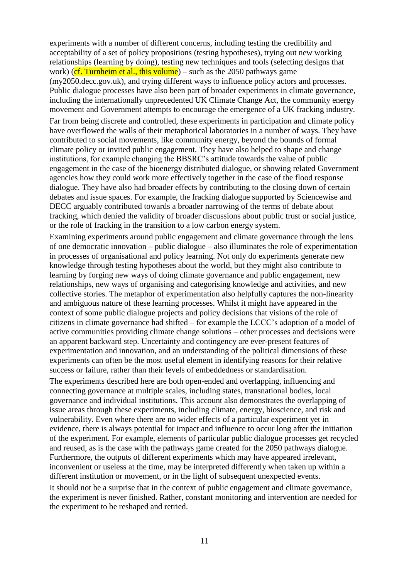experiments with a number of different concerns, including testing the credibility and acceptability of a set of policy propositions (testing hypotheses), trying out new working relationships (learning by doing), testing new techniques and tools (selecting designs that work) ( $cf.$  Turnheim et al., this volume) – such as the 2050 pathways game (my2050.decc.gov.uk), and trying different ways to influence policy actors and processes. Public dialogue processes have also been part of broader experiments in climate governance, including the internationally unprecedented UK Climate Change Act, the community energy movement and Government attempts to encourage the emergence of a UK fracking industry. Far from being discrete and controlled, these experiments in participation and climate policy have overflowed the walls of their metaphorical laboratories in a number of ways. They have contributed to social movements, like community energy, beyond the bounds of formal climate policy or invited public engagement. They have also helped to shape and change institutions, for example changing the BBSRC's attitude towards the value of public engagement in the case of the bioenergy distributed dialogue, or showing related Government agencies how they could work more effectively together in the case of the flood response dialogue. They have also had broader effects by contributing to the closing down of certain debates and issue spaces. For example, the fracking dialogue supported by Sciencewise and DECC arguably contributed towards a broader narrowing of the terms of debate about fracking, which denied the validity of broader discussions about public trust or social justice, or the role of fracking in the transition to a low carbon energy system.

Examining experiments around public engagement and climate governance through the lens of one democratic innovation – public dialogue – also illuminates the role of experimentation in processes of organisational and policy learning. Not only do experiments generate new knowledge through testing hypotheses about the world, but they might also contribute to learning by forging new ways of doing climate governance and public engagement, new relationships, new ways of organising and categorising knowledge and activities, and new collective stories. The metaphor of experimentation also helpfully captures the non-linearity and ambiguous nature of these learning processes. Whilst it might have appeared in the context of some public dialogue projects and policy decisions that visions of the role of citizens in climate governance had shifted – for example the LCCC's adoption of a model of active communities providing climate change solutions – other processes and decisions were an apparent backward step. Uncertainty and contingency are ever-present features of experimentation and innovation, and an understanding of the political dimensions of these experiments can often be the most useful element in identifying reasons for their relative success or failure, rather than their levels of embeddedness or standardisation.

The experiments described here are both open-ended and overlapping, influencing and connecting governance at multiple scales, including states, transnational bodies, local governance and individual institutions. This account also demonstrates the overlapping of issue areas through these experiments, including climate, energy, bioscience, and risk and vulnerability. Even where there are no wider effects of a particular experiment yet in evidence, there is always potential for impact and influence to occur long after the initiation of the experiment. For example, elements of particular public dialogue processes get recycled and reused, as is the case with the pathways game created for the 2050 pathways dialogue. Furthermore, the outputs of different experiments which may have appeared irrelevant, inconvenient or useless at the time, may be interpreted differently when taken up within a different institution or movement, or in the light of subsequent unexpected events.

It should not be a surprise that in the context of public engagement and climate governance, the experiment is never finished. Rather, constant monitoring and intervention are needed for the experiment to be reshaped and retried.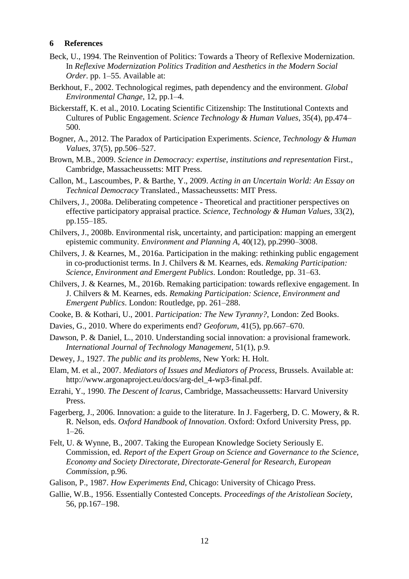#### **6 References**

- Beck, U., 1994. The Reinvention of Politics: Towards a Theory of Reflexive Modernization. In *Reflexive Modernization Politics Tradition and Aesthetics in the Modern Social Order*. pp. 1–55. Available at:
- Berkhout, F., 2002. Technological regimes, path dependency and the environment. *Global Environmental Change*, 12, pp.1–4.
- Bickerstaff, K. et al., 2010. Locating Scientific Citizenship: The Institutional Contexts and Cultures of Public Engagement. *Science Technology & Human Values*, 35(4), pp.474– 500.
- Bogner, A., 2012. The Paradox of Participation Experiments. *Science, Technology & Human Values*, 37(5), pp.506–527.
- Brown, M.B., 2009. *Science in Democracy: expertise, institutions and representation* First., Cambridge, Massacheussetts: MIT Press.
- Callon, M., Lascoumbes, P. & Barthe, Y., 2009. *Acting in an Uncertain World: An Essay on Technical Democracy* Translated., Massacheussetts: MIT Press.
- Chilvers, J., 2008a. Deliberating competence Theoretical and practitioner perspectives on effective participatory appraisal practice. *Science, Technology & Human Values*, 33(2), pp.155–185.
- Chilvers, J., 2008b. Environmental risk, uncertainty, and participation: mapping an emergent epistemic community. *Environment and Planning A*, 40(12), pp.2990–3008.
- Chilvers, J. & Kearnes, M., 2016a. Participation in the making: rethinking public engagement in co-productionist terms. In J. Chilvers & M. Kearnes, eds. *Remaking Participation: Science, Environment and Emergent Publics*. London: Routledge, pp. 31–63.
- Chilvers, J. & Kearnes, M., 2016b. Remaking participation: towards reflexive engagement. In J. Chilvers & M. Kearnes, eds. *Remaking Participation: Science, Environment and Emergent Publics*. London: Routledge, pp. 261–288.
- Cooke, B. & Kothari, U., 2001. *Participation: The New Tyranny?*, London: Zed Books.
- Davies, G., 2010. Where do experiments end? *Geoforum*, 41(5), pp.667–670.
- Dawson, P. & Daniel, L., 2010. Understanding social innovation: a provisional framework. *International Journal of Technology Management*, 51(1), p.9.
- Dewey, J., 1927. *The public and its problems*, New York: H. Holt.
- Elam, M. et al., 2007. *Mediators of Issues and Mediators of Process*, Brussels. Available at: http://www.argonaproject.eu/docs/arg-del\_4-wp3-final.pdf.
- Ezrahi, Y., 1990. *The Descent of Icarus*, Cambridge, Massacheussetts: Harvard University Press.
- Fagerberg, J., 2006. Innovation: a guide to the literature. In J. Fagerberg, D. C. Mowery, & R. R. Nelson, eds. *Oxford Handbook of Innovation*. Oxford: Oxford University Press, pp. 1–26.
- Felt, U. & Wynne, B., 2007. Taking the European Knowledge Society Seriously E. Commission, ed. *Report of the Expert Group on Science and Governance to the Science, Economy and Society Directorate, Directorate-General for Research, European Commission*, p.96.
- Galison, P., 1987. *How Experiments End*, Chicago: University of Chicago Press.
- Gallie, W.B., 1956. Essentially Contested Concepts. *Proceedings of the Aristoliean Society*, 56, pp.167–198.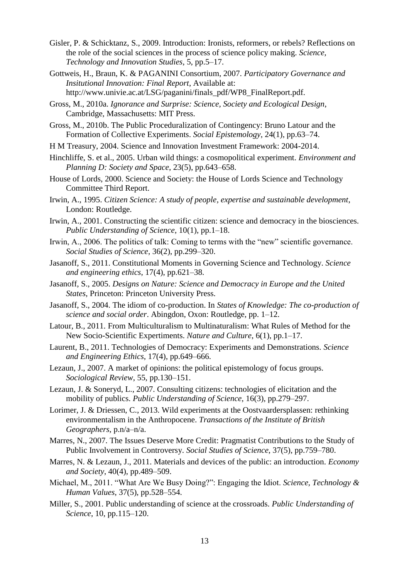- Gisler, P. & Schicktanz, S., 2009. Introduction: Ironists, reformers, or rebels? Reflections on the role of the social sciences in the process of science policy making. *Science, Technology and Innovation Studies*, 5, pp.5–17.
- Gottweis, H., Braun, K. & PAGANINI Consortium, 2007. *Participatory Governance and Insitutional Innovation: Final Report*, Available at: http://www.univie.ac.at/LSG/paganini/finals\_pdf/WP8\_FinalReport.pdf.
- Gross, M., 2010a. *Ignorance and Surprise: Science, Society and Ecological Design*, Cambridge, Massachusetts: MIT Press.
- Gross, M., 2010b. The Public Proceduralization of Contingency: Bruno Latour and the Formation of Collective Experiments. *Social Epistemology*, 24(1), pp.63–74.
- H M Treasury, 2004. Science and Innovation Investment Framework: 2004-2014.
- Hinchliffe, S. et al., 2005. Urban wild things: a cosmopolitical experiment. *Environment and Planning D: Society and Space*, 23(5), pp.643–658.
- House of Lords, 2000. Science and Society: the House of Lords Science and Technology Committee Third Report.
- Irwin, A., 1995. *Citizen Science: A study of people, expertise and sustainable development*, London: Routledge.
- Irwin, A., 2001. Constructing the scientific citizen: science and democracy in the biosciences. *Public Understanding of Science*, 10(1), pp.1–18.
- Irwin, A., 2006. The politics of talk: Coming to terms with the "new" scientific governance. *Social Studies of Science*, 36(2), pp.299–320.
- Jasanoff, S., 2011. Constitutional Moments in Governing Science and Technology. *Science and engineering ethics*, 17(4), pp.621–38.
- Jasanoff, S., 2005. *Designs on Nature: Science and Democracy in Europe and the United States*, Princeton: Princeton University Press.
- Jasanoff, S., 2004. The idiom of co-production. In *States of Knowledge: The co-production of science and social order*. Abingdon, Oxon: Routledge, pp. 1–12.
- Latour, B., 2011. From Multiculturalism to Multinaturalism: What Rules of Method for the New Socio-Scientific Expertiments. *Nature and Culture*, 6(1), pp.1–17.
- Laurent, B., 2011. Technologies of Democracy: Experiments and Demonstrations. *Science and Engineering Ethics*, 17(4), pp.649–666.
- Lezaun, J., 2007. A market of opinions: the political epistemology of focus groups. *Sociological Review*, 55, pp.130–151.
- Lezaun, J. & Soneryd, L., 2007. Consulting citizens: technologies of elicitation and the mobility of publics. *Public Understanding of Science*, 16(3), pp.279–297.
- Lorimer, J. & Driessen, C., 2013. Wild experiments at the Oostvaardersplassen: rethinking environmentalism in the Anthropocene. *Transactions of the Institute of British Geographers*, p.n/a–n/a.
- Marres, N., 2007. The Issues Deserve More Credit: Pragmatist Contributions to the Study of Public Involvement in Controversy. *Social Studies of Science*, 37(5), pp.759–780.
- Marres, N. & Lezaun, J., 2011. Materials and devices of the public: an introduction. *Economy and Society*, 40(4), pp.489–509.
- Michael, M., 2011. "What Are We Busy Doing?": Engaging the Idiot. *Science, Technology & Human Values*, 37(5), pp.528–554.
- Miller, S., 2001. Public understanding of science at the crossroads. *Public Understanding of Science*, 10, pp.115–120.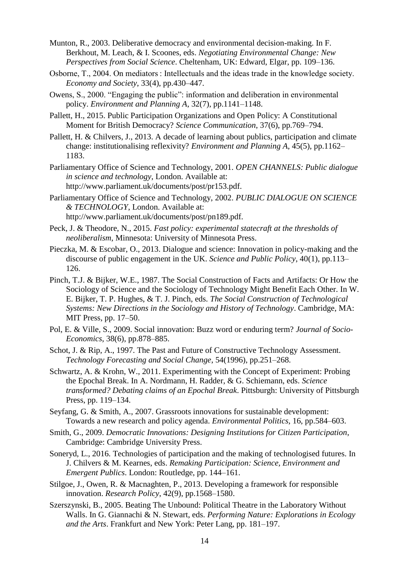- Munton, R., 2003. Deliberative democracy and environmental decision-making. In F. Berkhout, M. Leach, & I. Scoones, eds. *Negotiating Environmental Change: New Perspectives from Social Science*. Cheltenham, UK: Edward, Elgar, pp. 109–136.
- Osborne, T., 2004. On mediators : Intellectuals and the ideas trade in the knowledge society. *Economy and Society*, 33(4), pp.430–447.
- Owens, S., 2000. "Engaging the public": information and deliberation in environmental policy. *Environment and Planning A*, 32(7), pp.1141–1148.
- Pallett, H., 2015. Public Participation Organizations and Open Policy: A Constitutional Moment for British Democracy? *Science Communication*, 37(6), pp.769–794.
- Pallett, H. & Chilvers, J., 2013. A decade of learning about publics, participation and climate change: institutionalising reflexivity? *Environment and Planning A*, 45(5), pp.1162– 1183.
- Parliamentary Office of Science and Technology, 2001. *OPEN CHANNELS: Public dialogue in science and technology*, London. Available at: http://www.parliament.uk/documents/post/pr153.pdf.
- Parliamentary Office of Science and Technology, 2002. *PUBLIC DIALOGUE ON SCIENCE & TECHNOLOGY*, London. Available at: http://www.parliament.uk/documents/post/pn189.pdf.
- Peck, J. & Theodore, N., 2015. *Fast policy: experimental statecraft at the thresholds of neoliberalism*, Minnesota: University of Minnesota Press.
- Pieczka, M. & Escobar, O., 2013. Dialogue and science: Innovation in policy-making and the discourse of public engagement in the UK. *Science and Public Policy*, 40(1), pp.113– 126.
- Pinch, T.J. & Bijker, W.E., 1987. The Social Construction of Facts and Artifacts: Or How the Sociology of Science and the Sociology of Technology Might Benefit Each Other. In W. E. Bijker, T. P. Hughes, & T. J. Pinch, eds. *The Social Construction of Technological Systems: New Directions in the Sociology and History of Technology*. Cambridge, MA: MIT Press, pp. 17–50.
- Pol, E. & Ville, S., 2009. Social innovation: Buzz word or enduring term? *Journal of Socio-Economics*, 38(6), pp.878–885.
- Schot, J. & Rip, A., 1997. The Past and Future of Constructive Technology Assessment. *Technology Forecasting and Social Change*, 54(1996), pp.251–268.
- Schwartz, A. & Krohn, W., 2011. Experimenting with the Concept of Experiment: Probing the Epochal Break. In A. Nordmann, H. Radder, & G. Schiemann, eds. *Science transformed? Debating claims of an Epochal Break*. Pittsburgh: University of Pittsburgh Press, pp. 119–134.
- Seyfang, G. & Smith, A., 2007. Grassroots innovations for sustainable development: Towards a new research and policy agenda. *Environmental Politics*, 16, pp.584–603.
- Smith, G., 2009. *Democratic Innovations: Designing Institutions for Citizen Participation*, Cambridge: Cambridge University Press.
- Soneryd, L., 2016. Technologies of participation and the making of technologised futures. In J. Chilvers & M. Kearnes, eds. *Remaking Participation: Science, Environment and Emergent Publics*. London: Routledge, pp. 144–161.
- Stilgoe, J., Owen, R. & Macnaghten, P., 2013. Developing a framework for responsible innovation. *Research Policy*, 42(9), pp.1568–1580.
- Szerszynski, B., 2005. Beating The Unbound: Political Theatre in the Laboratory Without Walls. In G. Giannachi & N. Stewart, eds. *Performing Nature: Explorations in Ecology and the Arts*. Frankfurt and New York: Peter Lang, pp. 181–197.